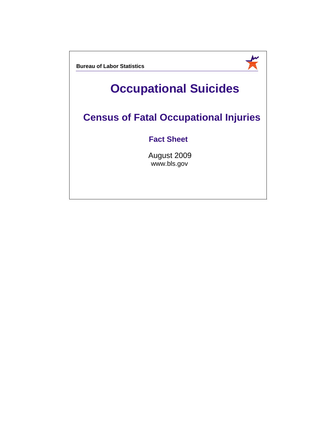**Bureau of Labor Statistics**

## **Occupational Suicides**

—<br>美

## **Census of Fatal Occupational Injuries**

## **Fact Sheet**

August 2009 www.bls.gov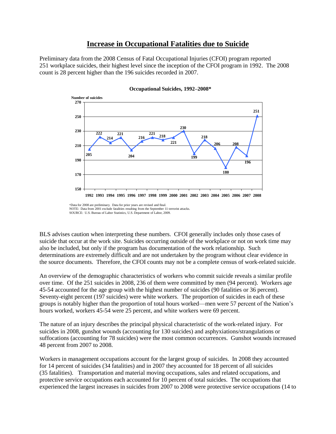## **Increase in Occupational Fatalities due to Suicide**

Preliminary data from the 2008 Census of Fatal Occupational Injuries (CFOI) program reported 251 workplace suicides, their highest level since the inception of the CFOI program in 1992. The 2008 count is 28 percent higher than the 196 suicides recorded in 2007.



**Occupational Suicides, 1992–2008\***

\*Data for 2008 are preliminary. Data for prior years are revised and final. NOTE: Data from 2001 exclude fatalities resulting from the September 11 terrorist attacks. SOURCE: U.S. Bureau of Labor Statistics, U.S. Department of Labor, 2009.

BLS advises caution when interpreting these numbers. CFOI generally includes only those cases of suicide that occur at the work site. Suicides occurring outside of the workplace or not on work time may also be included, but only if the program has documentation of the work relationship. Such determinations are extremely difficult and are not undertaken by the program without clear evidence in the source documents. Therefore, the CFOI counts may not be a complete census of work-related suicide.

An overview of the demographic characteristics of workers who commit suicide reveals a similar profile over time. Of the 251 suicides in 2008, 236 of them were committed by men (94 percent). Workers age 45-54 accounted for the age group with the highest number of suicides (90 fatalities or 36 percent). Seventy-eight percent (197 suicides) were white workers. The proportion of suicides in each of these groups is notably higher than the proportion of total hours worked—men were 57 percent of the Nation's hours worked, workers 45-54 were 25 percent, and white workers were 69 percent.

The nature of an injury describes the principal physical characteristic of the work-related injury. For suicides in 2008, gunshot wounds (accounting for 130 suicides) and asphyxiations/strangulations or suffocations (accounting for 78 suicides) were the most common occurrences. Gunshot wounds increased 48 percent from 2007 to 2008.

Workers in management occupations account for the largest group of suicides. In 2008 they accounted for 14 percent of suicides (34 fatalities) and in 2007 they accounted for 18 percent of all suicides (35 fatalities). Transportation and material moving occupations, sales and related occupations, and protective service occupations each accounted for 10 percent of total suicides. The occupations that experienced the largest increases in suicides from 2007 to 2008 were protective service occupations (14 to